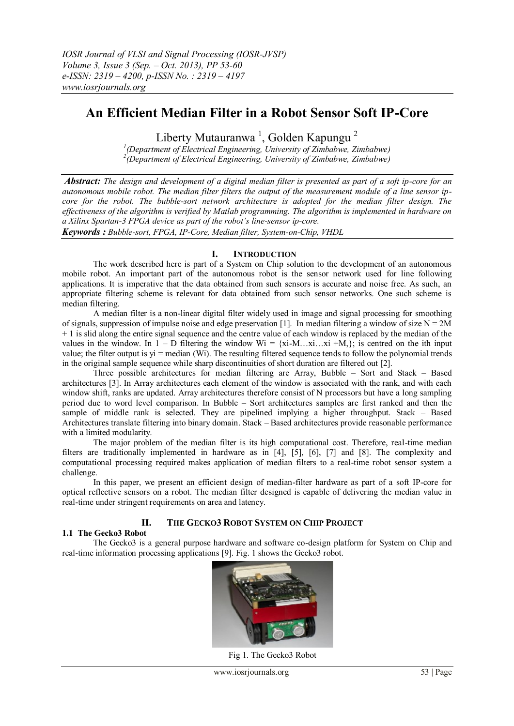# **An Efficient Median Filter in a Robot Sensor Soft IP-Core**

Liberty Mutauranwa<sup>1</sup>, Golden Kapungu<sup>2</sup>

*1 (Department of Electrical Engineering, University of Zimbabwe, Zimbabwe) 2 (Department of Electrical Engineering, University of Zimbabwe, Zimbabwe)*

*Abstract: The design and development of a digital median filter is presented as part of a soft ip-core for an autonomous mobile robot. The median filter filters the output of the measurement module of a line sensor ipcore for the robot. The bubble-sort network architecture is adopted for the median filter design. The effectiveness of the algorithm is verified by Matlab programming. The algorithm is implemented in hardware on a Xilinx Spartan-3 FPGA device as part of the robot's line-sensor ip-core. Keywords : Bubble-sort, FPGA, IP-Core, Median filter, System-on-Chip, VHDL*

**I. INTRODUCTION**

The work described here is part of a System on Chip solution to the development of an autonomous mobile robot. An important part of the autonomous robot is the sensor network used for line following applications. It is imperative that the data obtained from such sensors is accurate and noise free. As such, an appropriate filtering scheme is relevant for data obtained from such sensor networks. One such scheme is median filtering.

A median filter is a non-linear digital filter widely used in image and signal processing for smoothing of signals, suppression of impulse noise and edge preservation [1]. In median filtering a window of size  $N = 2M$ + 1 is slid along the entire signal sequence and the centre value of each window is replaced by the median of the values in the window. In 1 – D filtering the window  $Wi = \{xi \cdot M, \ldots,xi \cdot H, \}$ ; is centred on the ith input value; the filter output is yi = median (Wi). The resulting filtered sequence tends to follow the polynomial trends in the original sample sequence while sharp discontinuities of short duration are filtered out [2].

Three possible architectures for median filtering are Array, Bubble – Sort and Stack – Based architectures [3]. In Array architectures each element of the window is associated with the rank, and with each window shift, ranks are updated. Array architectures therefore consist of N processors but have a long sampling period due to word level comparison. In Bubble – Sort architectures samples are first ranked and then the sample of middle rank is selected. They are pipelined implying a higher throughput. Stack – Based Architectures translate filtering into binary domain. Stack – Based architectures provide reasonable performance with a limited modularity.

The major problem of the median filter is its high computational cost. Therefore, real-time median filters are traditionally implemented in hardware as in [4], [5], [6], [7] and [8]. The complexity and computational processing required makes application of median filters to a real-time robot sensor system a challenge.

In this paper, we present an efficient design of median-filter hardware as part of a soft IP-core for optical reflective sensors on a robot. The median filter designed is capable of delivering the median value in real-time under stringent requirements on area and latency.

# **II. THE GECKO3 ROBOT SYSTEM ON CHIP PROJECT**

#### **1.1 The Gecko3 Robot**

The Gecko3 is a general purpose hardware and software co-design platform for System on Chip and real-time information processing applications [9]. Fig. 1 shows the Gecko3 robot.



Fig 1. The Gecko3 Robot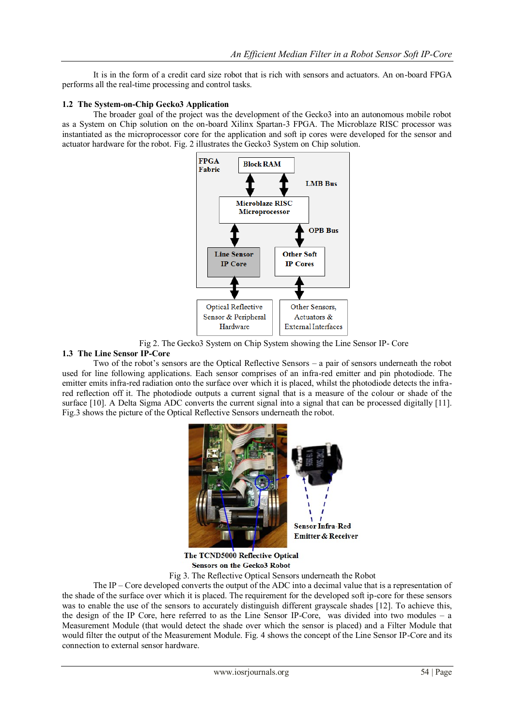It is in the form of a credit card size robot that is rich with sensors and actuators. An on-board FPGA performs all the real-time processing and control tasks.

#### **1.2 The System-on-Chip Gecko3 Application**

The broader goal of the project was the development of the Gecko3 into an autonomous mobile robot as a System on Chip solution on the on-board Xilinx Spartan-3 FPGA. The Microblaze RISC processor was instantiated as the microprocessor core for the application and soft ip cores were developed for the sensor and actuator hardware for the robot. Fig. 2 illustrates the Gecko3 System on Chip solution.



Fig 2. The Gecko3 System on Chip System showing the Line Sensor IP- Core

#### **1.3 The Line Sensor IP-Core**

Two of the robot's sensors are the Optical Reflective Sensors – a pair of sensors underneath the robot used for line following applications. Each sensor comprises of an infra-red emitter and pin photodiode. The emitter emits infra-red radiation onto the surface over which it is placed, whilst the photodiode detects the infrared reflection off it. The photodiode outputs a current signal that is a measure of the colour or shade of the surface [10]. A Delta Sigma ADC converts the current signal into a signal that can be processed digitally [11]. Fig.3 shows the picture of the Optical Reflective Sensors underneath the robot.



The TCND5000 Reflective Optical **Sensors on the Gecko3 Robot** 

Fig 3. The Reflective Optical Sensors underneath the Robot

The IP – Core developed converts the output of the ADC into a decimal value that is a representation of the shade of the surface over which it is placed. The requirement for the developed soft ip-core for these sensors was to enable the use of the sensors to accurately distinguish different grayscale shades [12]. To achieve this, the design of the IP Core, here referred to as the Line Sensor IP-Core, was divided into two modules – a Measurement Module (that would detect the shade over which the sensor is placed) and a Filter Module that would filter the output of the Measurement Module. Fig. 4 shows the concept of the Line Sensor IP-Core and its connection to external sensor hardware.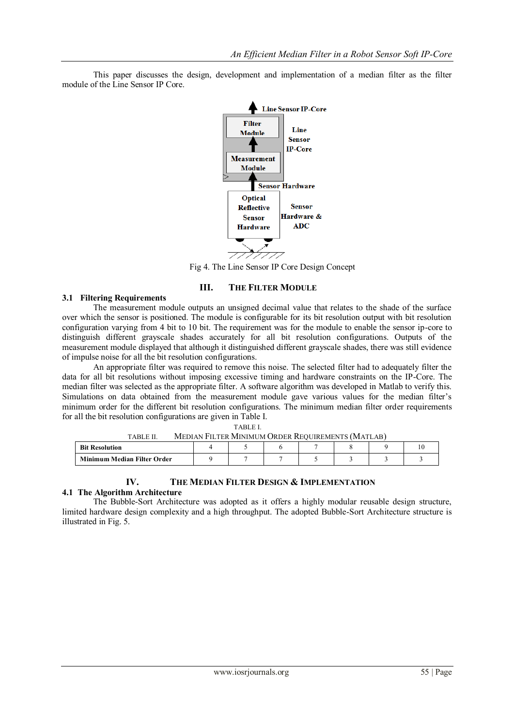This paper discusses the design, development and implementation of a median filter as the filter module of the Line Sensor IP Core.



Fig 4. The Line Sensor IP Core Design Concept

#### **III. THE FILTER MODULE**

#### **3.1 Filtering Requirements**

The measurement module outputs an unsigned decimal value that relates to the shade of the surface over which the sensor is positioned. The module is configurable for its bit resolution output with bit resolution configuration varying from 4 bit to 10 bit. The requirement was for the module to enable the sensor ip-core to distinguish different grayscale shades accurately for all bit resolution configurations. Outputs of the measurement module displayed that although it distinguished different grayscale shades, there was still evidence of impulse noise for all the bit resolution configurations.

An appropriate filter was required to remove this noise. The selected filter had to adequately filter the data for all bit resolutions without imposing excessive timing and hardware constraints on the IP-Core. The median filter was selected as the appropriate filter. A software algorithm was developed in Matlab to verify this. Simulations on data obtained from the measurement module gave various values for the median filter's minimum order for the different bit resolution configurations. The minimum median filter order requirements for all the bit resolution configurations are given in Table I.

| MEDIAN FILTER MINIMUM ORDER REQUIREMENTS (MATLAB)<br><b>TABLE II.</b> |  |  |  |  |  |  |  |
|-----------------------------------------------------------------------|--|--|--|--|--|--|--|
| <b>Bit Resolution</b>                                                 |  |  |  |  |  |  |  |
| Minimum Median Filter Order                                           |  |  |  |  |  |  |  |

TABLE I.

#### **IV. THE MEDIAN FILTER DESIGN & IMPLEMENTATION**

### **4.1 The Algorithm Architecture**

The Bubble-Sort Architecture was adopted as it offers a highly modular reusable design structure, limited hardware design complexity and a high throughput. The adopted Bubble-Sort Architecture structure is illustrated in Fig. 5.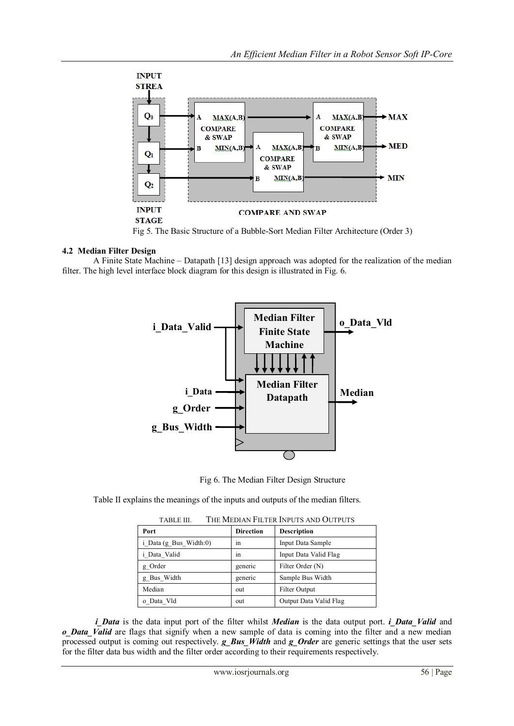

Fig 5. The Basic Structure of a Bubble-Sort Median Filter Architecture (Order 3)

# **4.2 Median Filter Design**

A Finite State Machine – Datapath [13] design approach was adopted for the realization of the median filter. The high level interface block diagram for this design is illustrated in Fig. 6.



Fig 6. The Median Filter Design Structure

Table II explains the meanings of the inputs and outputs of the median filters.

| LABLE III.<br>THE MEDIAN FILTER INPUTS AND OUTPUTS |                  |                        |  |  |  |
|----------------------------------------------------|------------------|------------------------|--|--|--|
| Port                                               | <b>Direction</b> | <b>Description</b>     |  |  |  |
| i Data (g Bus Width:0)                             | 1n               | Input Data Sample      |  |  |  |
| i Data Valid                                       | ٠.<br>1n         | Input Data Valid Flag  |  |  |  |
| g Order                                            | generic          | Filter Order (N)       |  |  |  |
| g Bus Width                                        | generic          | Sample Bus Width       |  |  |  |
| Median                                             | out              | <b>Filter Output</b>   |  |  |  |
| o Data Vld                                         | out              | Output Data Valid Flag |  |  |  |

TABLE III. THE MEDIAN FILTER INPUTS AND OUTPUTS

*i* Data is the data input port of the filter whilst *Median* is the data output port. *i\_Data\_Valid* and *o* Data Valid are flags that signify when a new sample of data is coming into the filter and a new median processed output is coming out respectively. *g\_Bus\_Width* and *g\_Order* are generic settings that the user sets for the filter data bus width and the filter order according to their requirements respectively.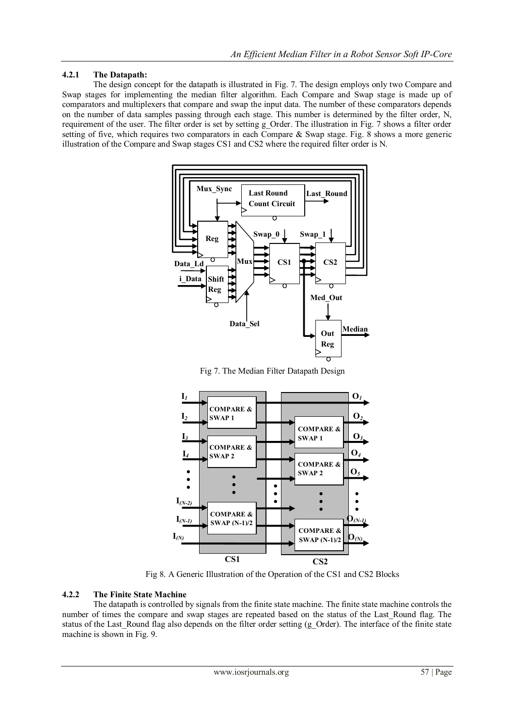## **4.2.1 The Datapath:**

The design concept for the datapath is illustrated in Fig. 7. The design employs only two Compare and Swap stages for implementing the median filter algorithm. Each Compare and Swap stage is made up of comparators and multiplexers that compare and swap the input data. The number of these comparators depends on the number of data samples passing through each stage. This number is determined by the filter order, N, requirement of the user. The filter order is set by setting g\_Order. The illustration in Fig. 7 shows a filter order setting of five, which requires two comparators in each Compare & Swap stage. Fig. 8 shows a more generic illustration of the Compare and Swap stages CS1 and CS2 where the required filter order is N.



Fig 7. The Median Filter Datapath Design



Fig 8. A Generic Illustration of the Operation of the CS1 and CS2 Blocks

#### **4.2.2 The Finite State Machine**

The datapath is controlled by signals from the finite state machine. The finite state machine controls the number of times the compare and swap stages are repeated based on the status of the Last Round flag. The status of the Last Round flag also depends on the filter order setting (g\_Order). The interface of the finite state machine is shown in Fig. 9.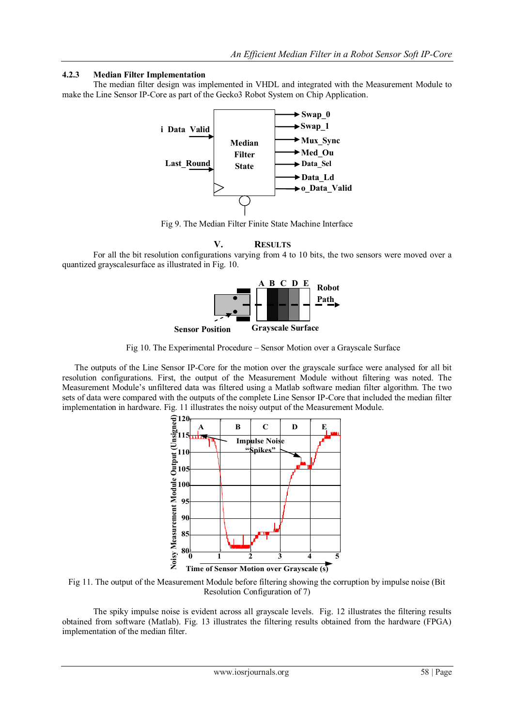#### **4.2.3 Median Filter Implementation**

The median filter design was implemented in VHDL and integrated with the Measurement Module to make the Line Sensor IP-Core as part of the Gecko3 Robot System on Chip Application.



Fig 9. The Median Filter Finite State Machine Interface

**V. RESULTS**

For all the bit resolution configurations varying from 4 to 10 bits, the two sensors were moved over a quantized grayscalesurface as illustrated in Fig. 10.



Fig 10. The Experimental Procedure - Sensor Motion over a Grayscale Surface

The outputs of the Line Sensor IP-Core for the motion over the grayscale surface were analysed for all bit resolution configurations. First, the output of the Measurement Module without filtering was noted. The Measurement Module's unfiltered data was filtered using a Matlab software median filter algorithm. The two sets of data were compared with the outputs of the complete Line Sensor IP-Core that included the median filter implementation in hardware. Fig. 11 illustrates the noisy output of the Measurement Module.



Fig 11. The output of the Measurement Module before filtering showing the corruption by impulse noise (Bit Resolution Configuration of 7)

The spiky impulse noise is evident across all grayscale levels. Fig. 12 illustrates the filtering results obtained from software (Matlab). Fig. 13 illustrates the filtering results obtained from the hardware (FPGA) implementation of the median filter.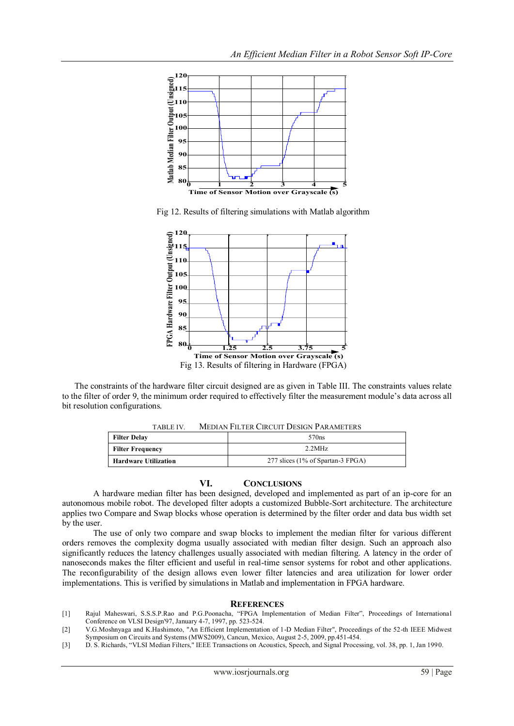

Fig 12. Results of filtering simulations with Matlab algorithm



The constraints of the hardware filter circuit designed are as given in Table III. The constraints values relate to the filter of order 9, the minimum order required to effectively filter the measurement module's data across all bit resolution configurations.

TABLE IV. MEDIAN FILTER CIRCUIT DESIGN PARAMETERS

| <b>Filter Delay</b>         | 570 <sub>ns</sub>                 |  |  |  |
|-----------------------------|-----------------------------------|--|--|--|
| Filter Frequency            | 2.2MHz                            |  |  |  |
| <b>Hardware Utilization</b> | 277 slices (1% of Spartan-3 FPGA) |  |  |  |

#### **VI. CONCLUSIONS**

A hardware median filter has been designed, developed and implemented as part of an ip-core for an autonomous mobile robot. The developed filter adopts a customized Bubble-Sort architecture. The architecture applies two Compare and Swap blocks whose operation is determined by the filter order and data bus width set by the user.

The use of only two compare and swap blocks to implement the median filter for various different orders removes the complexity dogma usually associated with median filter design. Such an approach also significantly reduces the latency challenges usually associated with median filtering. A latency in the order of nanoseconds makes the filter efficient and useful in real-time sensor systems for robot and other applications. The reconfigurability of the design allows even lower filter latencies and area utilization for lower order implementations. This is verified by simulations in Matlab and implementation in FPGA hardware.

#### **REFERENCES**

- [1] Rajul Maheswari, S.S.S.P.Rao and P.G.Poonacha, "FPGA Implementation of Median Filter", Proceedings of International Conference on VLSI Design'97, January 4-7, 1997, pp. 523-524.
- [2] V.G.Moshnyaga and K.Hashimoto, "An Efficient Implementation of 1-D Median Filter", Proceedings of the 52-th IEEE Midwest Symposium on Circuits and Systems (MWS2009), Cancun, Mexico, August 2-5, 2009, pp.451-454.
- [3] D. S. Richards, "VLSI Median Filters," IEEE Transactions on Acoustics, Speech, and Signal Processing, vol. 38, pp. 1, Jan 1990.